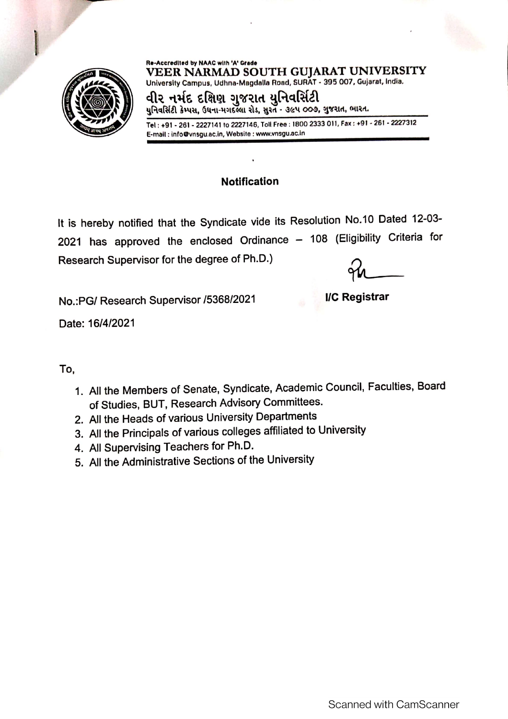

Re-Accredited by NAAC with 'A' Grade VEER NARMAD SOUTH GUJARAT UNIVERSITY University Campus, Udhna-Magdalla Road, SURAT - 395 007, Gujarat, India.

વીર નર્મદ દક્ષિણ ગુજરાત યુનિવર્સિટી યુનિવર્સિટી કેમ્પસ, ઉધના-મગદલ્લા રોડ, સુરતે - ૩૯૫ ૦૦૭, ગુજરાત, ભારત.

Tel: +91 - 261 - 2227141 to 2227146, Toll Free: 1800 2333 011, Fax: +91 - 261 - 2227312 E-mail: info@vnsgu.ac.in, Website: www.vnsgu.ac.in

## **Notification**

It is hereby notified that the Syndicate vide its Resolution No.10 Dated 12-03-2021 has approved the enclosed Ordinance - 108 (Eligibility Criteria for Research Supervisor for the degree of Ph.D.)

No.: PG/ Research Supervisor /5368/2021

**I/C Registrar** 

Date: 16/4/2021

## To.

- 1. All the Members of Senate, Syndicate, Academic Council, Faculties, Board of Studies, BUT, Research Advisory Committees.
- 2. All the Heads of various University Departments
- 3. All the Principals of various colleges affiliated to University
- 4. All Supervising Teachers for Ph.D.
- 5. All the Administrative Sections of the University